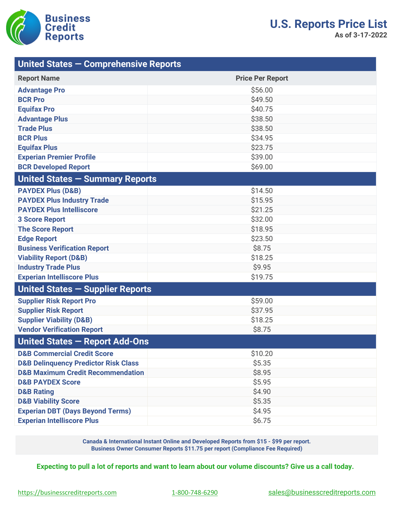

| United States - Comprehensive Reports           |                         |
|-------------------------------------------------|-------------------------|
| <b>Report Name</b>                              | <b>Price Per Report</b> |
| <b>Advantage Pro</b>                            | \$56.00                 |
| <b>BCR Pro</b>                                  | \$49.50                 |
| <b>Equifax Pro</b>                              | \$40.75                 |
| <b>Advantage Plus</b>                           | \$38.50                 |
| <b>Trade Plus</b>                               | \$38.50                 |
| <b>BCR Plus</b>                                 | \$34.95                 |
| <b>Equifax Plus</b>                             | \$23.75                 |
| <b>Experian Premier Profile</b>                 | \$39.00                 |
| <b>BCR Developed Report</b>                     | \$69.00                 |
| United States - Summary Reports                 |                         |
| <b>PAYDEX Plus (D&amp;B)</b>                    | \$14.50                 |
| <b>PAYDEX Plus Industry Trade</b>               | \$15.95                 |
| <b>PAYDEX Plus Intelliscore</b>                 | \$21.25                 |
| <b>3 Score Report</b>                           | \$32.00                 |
| <b>The Score Report</b>                         | \$18.95                 |
| <b>Edge Report</b>                              | \$23.50                 |
| <b>Business Verification Report</b>             | \$8.75                  |
| <b>Viability Report (D&amp;B)</b>               | \$18.25                 |
| <b>Industry Trade Plus</b>                      | \$9.95                  |
| <b>Experian Intelliscore Plus</b>               | \$19.75                 |
| United States - Supplier Reports                |                         |
| <b>Supplier Risk Report Pro</b>                 | \$59.00                 |
| <b>Supplier Risk Report</b>                     | \$37.95                 |
| <b>Supplier Viability (D&amp;B)</b>             | \$18.25                 |
| <b>Vendor Verification Report</b>               | \$8.75                  |
| United States - Report Add-Ons                  |                         |
| <b>D&amp;B Commercial Credit Score</b>          | \$10.20                 |
| <b>D&amp;B Delinquency Predictor Risk Class</b> | \$5.35                  |
| <b>D&amp;B Maximum Credit Recommendation</b>    | \$8.95                  |
| <b>D&amp;B PAYDEX Score</b>                     | \$5.95                  |
| <b>D&amp;B Rating</b>                           | \$4.90                  |
| <b>D&amp;B Viability Score</b>                  | \$5.35                  |
| <b>Experian DBT (Days Beyond Terms)</b>         | \$4.95                  |
| <b>Experian Intelliscore Plus</b>               | \$6.75                  |

**Canada & International Instant Online and Developed Reports from \$15 - \$99 per report. Business Owner Consumer Reports \$11.75 per report (Compliance Fee Required)**

**Expecting to pull a lot of reports and want to learn about our volume discounts? Give us a call today.**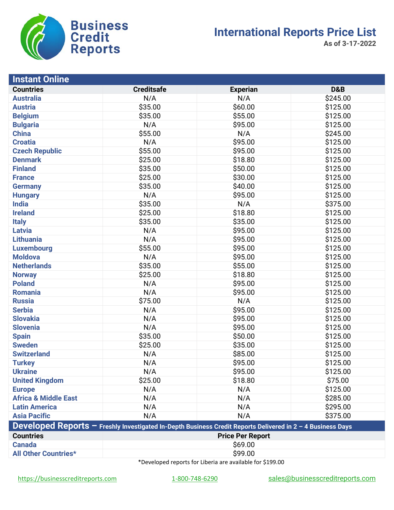

**As of 3-17-2022**

| <b>Instant Online</b>           |                                                                                                            |                         |                |  |  |
|---------------------------------|------------------------------------------------------------------------------------------------------------|-------------------------|----------------|--|--|
| <b>Countries</b>                | <b>Creditsafe</b>                                                                                          | <b>Experian</b>         | <b>D&amp;B</b> |  |  |
| <b>Australia</b>                | N/A                                                                                                        | N/A                     | \$245.00       |  |  |
| <b>Austria</b>                  | \$35.00                                                                                                    | \$60.00                 | \$125.00       |  |  |
| <b>Belgium</b>                  | \$35.00                                                                                                    | \$55.00                 | \$125.00       |  |  |
| <b>Bulgaria</b>                 | N/A                                                                                                        | \$95.00                 | \$125.00       |  |  |
| <b>China</b>                    | \$55.00                                                                                                    | N/A                     | \$245.00       |  |  |
| <b>Croatia</b>                  | N/A                                                                                                        | \$95.00                 | \$125.00       |  |  |
| <b>Czech Republic</b>           | \$55.00                                                                                                    | \$95.00                 | \$125.00       |  |  |
| <b>Denmark</b>                  | \$25.00                                                                                                    | \$18.80                 | \$125.00       |  |  |
| <b>Finland</b>                  | \$35.00                                                                                                    | \$50.00                 | \$125.00       |  |  |
| <b>France</b>                   | \$25.00                                                                                                    | \$30.00                 | \$125.00       |  |  |
| <b>Germany</b>                  | \$35.00                                                                                                    | \$40.00                 | \$125.00       |  |  |
| <b>Hungary</b>                  | N/A                                                                                                        | \$95.00                 | \$125.00       |  |  |
| <b>India</b>                    | \$35.00                                                                                                    | N/A                     | \$375.00       |  |  |
| <b>Ireland</b>                  | \$25.00                                                                                                    | \$18.80                 | \$125.00       |  |  |
| <b>Italy</b>                    | \$35.00                                                                                                    | \$35.00                 | \$125.00       |  |  |
| <b>Latvia</b>                   | N/A                                                                                                        | \$95.00                 | \$125.00       |  |  |
| <b>Lithuania</b>                | N/A                                                                                                        | \$95.00                 | \$125.00       |  |  |
| <b>Luxembourg</b>               | \$55.00                                                                                                    | \$95.00                 | \$125.00       |  |  |
| <b>Moldova</b>                  | N/A                                                                                                        | \$95.00                 | \$125.00       |  |  |
| <b>Netherlands</b>              | \$35.00                                                                                                    | \$55.00                 | \$125.00       |  |  |
| <b>Norway</b>                   | \$25.00                                                                                                    | \$18.80                 | \$125.00       |  |  |
| <b>Poland</b>                   | N/A                                                                                                        | \$95.00                 | \$125.00       |  |  |
| <b>Romania</b>                  | N/A                                                                                                        | \$95.00                 | \$125.00       |  |  |
| <b>Russia</b>                   | \$75.00                                                                                                    | N/A                     | \$125.00       |  |  |
| <b>Serbia</b>                   | N/A                                                                                                        | \$95.00                 | \$125.00       |  |  |
| <b>Slovakia</b>                 | N/A                                                                                                        | \$95.00                 | \$125.00       |  |  |
| <b>Slovenia</b>                 | N/A                                                                                                        | \$95.00                 | \$125.00       |  |  |
| <b>Spain</b>                    | \$35.00                                                                                                    | \$50.00                 | \$125.00       |  |  |
| <b>Sweden</b>                   | \$25.00                                                                                                    | \$35.00                 | \$125.00       |  |  |
| <b>Switzerland</b>              | N/A                                                                                                        | \$85.00                 | \$125.00       |  |  |
| <b>Turkey</b>                   | N/A                                                                                                        | \$95.00                 | \$125.00       |  |  |
| <b>Ukraine</b>                  | N/A                                                                                                        | \$95.00                 | \$125.00       |  |  |
| <b>United Kingdom</b>           | \$25.00                                                                                                    | \$18.80                 | \$75.00        |  |  |
| <b>Europe</b>                   | N/A                                                                                                        | N/A                     | \$125.00       |  |  |
| <b>Africa &amp; Middle East</b> | N/A                                                                                                        | N/A                     | \$285.00       |  |  |
| <b>Latin America</b>            | N/A                                                                                                        | N/A                     | \$295.00       |  |  |
| <b>Asia Pacific</b>             | N/A                                                                                                        | N/A                     | \$375.00       |  |  |
|                                 | Developed Reports - Freshly Investigated In-Depth Business Credit Reports Delivered in 2 - 4 Business Days |                         |                |  |  |
| <b>Countries</b>                |                                                                                                            | <b>Price Per Report</b> |                |  |  |
| <b>Canada</b>                   | \$69.00                                                                                                    |                         |                |  |  |
| <b>All Other Countries*</b>     | \$99.00                                                                                                    |                         |                |  |  |

\*Developed reports for Liberia are available for \$199.00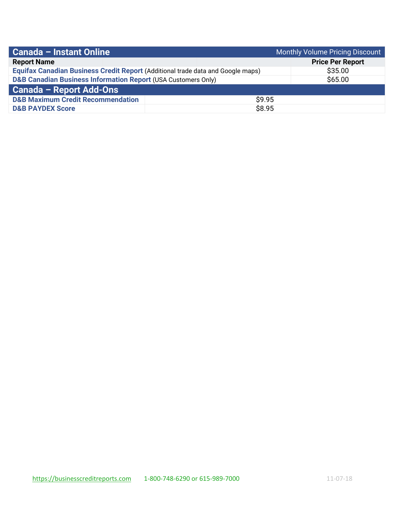| Canada - Instant Online                                                         | Monthly Volume Pricing Discount |                         |
|---------------------------------------------------------------------------------|---------------------------------|-------------------------|
| <b>Report Name</b>                                                              |                                 | <b>Price Per Report</b> |
| Equifax Canadian Business Credit Report (Additional trade data and Google maps) |                                 | \$35.00                 |
| <b>D&amp;B Canadian Business Information Report (USA Customers Only)</b>        |                                 | \$65.00                 |
| <b>Canada - Report Add-Ons</b>                                                  |                                 |                         |
| <b>D&amp;B Maximum Credit Recommendation</b>                                    | \$9.95                          |                         |
| <b>D&amp;B PAYDEX Score</b>                                                     | \$8.95                          |                         |